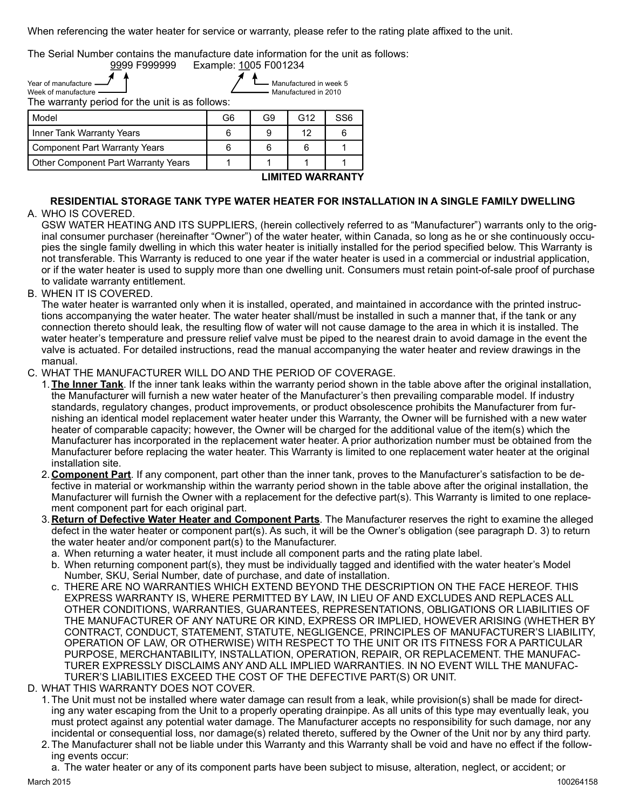| When referencing the water heater for service or warranty, please refer to the rating plate affixed to the unit. |                       |                |                                                |                 |  |  |
|------------------------------------------------------------------------------------------------------------------|-----------------------|----------------|------------------------------------------------|-----------------|--|--|
| The Serial Number contains the manufacture date information for the unit as follows:<br>9999 F999999             | Example: 1005 F001234 |                |                                                |                 |  |  |
| Year of manufacture<br>Week of manufacture                                                                       |                       |                | Manufactured in week 5<br>Manufactured in 2010 |                 |  |  |
|                                                                                                                  |                       |                |                                                |                 |  |  |
| The warranty period for the unit is as follows:                                                                  |                       |                |                                                |                 |  |  |
| Model                                                                                                            | G <sub>6</sub>        | G <sub>9</sub> | G12                                            | SS <sub>6</sub> |  |  |
| Inner Tank Warranty Years                                                                                        | 6                     | 9              | 12                                             | 6               |  |  |
| <b>Component Part Warranty Years</b>                                                                             | 6                     | 6              | 6                                              | 1               |  |  |
| Other Component Part Warranty Years                                                                              | 1                     |                |                                                | 1               |  |  |
|                                                                                                                  |                       |                | <b>LIMITED WARRANTY</b>                        |                 |  |  |
| RESIDENTIAL STORAGE TANK TYPE WATER HEATER FOR INSTALLATION IN A SINGLE FAMILY DWELLING<br>A. WHO IS COVERED.    |                       |                |                                                |                 |  |  |

## RESIDENTIAL STORAGE TANK TYPE WATER HEATER FOR INSTALLATION IN A SINGLE FAMILY DWELLING A. WHO IS COVERED.

GSW WATER HEATING AND ITS SUPPLIERS, (herein collectively referred to as "Manufacturer") warrants only to the original consumer purchaser (hereinafter "Owner") of the water heater, within Canada, so long as he or she continuously occupies the single family dwelling in which this water heater is initially installed for the period specified below. This Warranty is not transferable. This Warranty is reduced to one year if the water heater is used in a commercial or industrial application, or if the water heater is used to supply more than one dwelling unit. Consumers must retain point-of-sale proof of purchase to validate warranty entitlement.

B. WHEN IT IS COVERED.

 The water heater is warranted only when it is installed, operated, and maintained in accordance with the printed instructions accompanying the water heater. The water heater shall/must be installed in such a manner that, if the tank or any connection thereto should leak, the resulting flow of water will not cause damage to the area in which it is installed. The water heater's temperature and pressure relief valve must be piped to the nearest drain to avoid damage in the event the valve is actuated. For detailed instructions, read the manual accompanying the water heater and review drawings in the manual.

C. WHAT THE MANUFACTURER WILL DO AND THE PERIOD OF COVERAGE.

- 1. The Inner Tank. If the inner tank leaks within the warranty period shown in the table above after the original installation, the Manufacturer will furnish a new water heater of the Manufacturer's then prevailing comparable model. If industry standards, regulatory changes, product improvements, or product obsolescence prohibits the Manufacturer from furnishing an identical model replacement water heater under this Warranty, the Owner will be furnished with a new water heater of comparable capacity; however, the Owner will be charged for the additional value of the item(s) which the Manufacturer has incorporated in the replacement water heater. A prior authorization number must be obtained from the Manufacturer before replacing the water heater. This Warranty is limited to one replacement water heater at the original installation site.
- 2. Component Part. If any component, part other than the inner tank, proves to the Manufacturer's satisfaction to be defective in material or workmanship within the warranty period shown in the table above after the original installation, the Manufacturer will furnish the Owner with a replacement for the defective part(s). This Warranty is limited to one replacement component part for each original part.
- 3. Return of Defective Water Heater and Component Parts. The Manufacturer reserves the right to examine the alleged defect in the water heater or component part(s). As such, it will be the Owner's obligation (see paragraph D. 3) to return the water heater and/or component part(s) to the Manufacturer.
	- a. When returning a water heater, it must include all component parts and the rating plate label.
	- b. When returning component part(s), they must be individually tagged and identified with the water heater's Model Number, SKU, Serial Number, date of purchase, and date of installation.
	- c. THERE ARE NO WARRANTIES WHICH EXTEND BEYOND THE DESCRIPTION ON THE FACE HEREOF. THIS EXPRESS WARRANTY IS, WHERE PERMITTED BY LAW, IN LIEU OF AND EXCLUDES AND REPLACES ALL OTHER CONDITIONS, WARRANTIES, GUARANTEES, REPRESENTATIONS, OBLIGATIONS OR LIABILITIES OF THE MANUFACTURER OF ANY NATURE OR KIND, EXPRESS OR IMPLIED, HOWEVER ARISING (WHETHER BY CONTRACT, CONDUCT, STATEMENT, STATUTE, NEGLIGENCE, PRINCIPLES OF MANUFACTURER'S LIABILITY, OPERATION OF LAW, OR OTHERWISE) WITH RESPECT TO THE UNIT OR ITS FITNESS FOR A PARTICULAR PURPOSE, MERCHANTABILITY, INSTALLATION, OPERATION, REPAIR, OR REPLACEMENT. THE MANUFAC-TURER EXPRESSLY DISCLAIMS ANY AND ALL IMPLIED WARRANTIES. IN NO EVENT WILL THE MANUFAC-TURER'S LIABILITIES EXCEED THE COST OF THE DEFECTIVE PART(S) OR UNIT.
- D. WHAT THIS WARRANTY DOES NOT COVER.
	- 1. The Unit must not be installed where water damage can result from a leak, while provision(s) shall be made for directing any water escaping from the Unit to a properly operating drainpipe. As all units of this type may eventually leak, you must protect against any potential water damage. The Manufacturer accepts no responsibility for such damage, nor any incidental or consequential loss, nor damage(s) related thereto, suffered by the Owner of the Unit nor by any third party.
	- 2. The Manufacturer shall not be liable under this Warranty and this Warranty shall be void and have no effect if the following events occur:

a. The water heater or any of its component parts have been subject to misuse, alteration, neglect, or accident; or